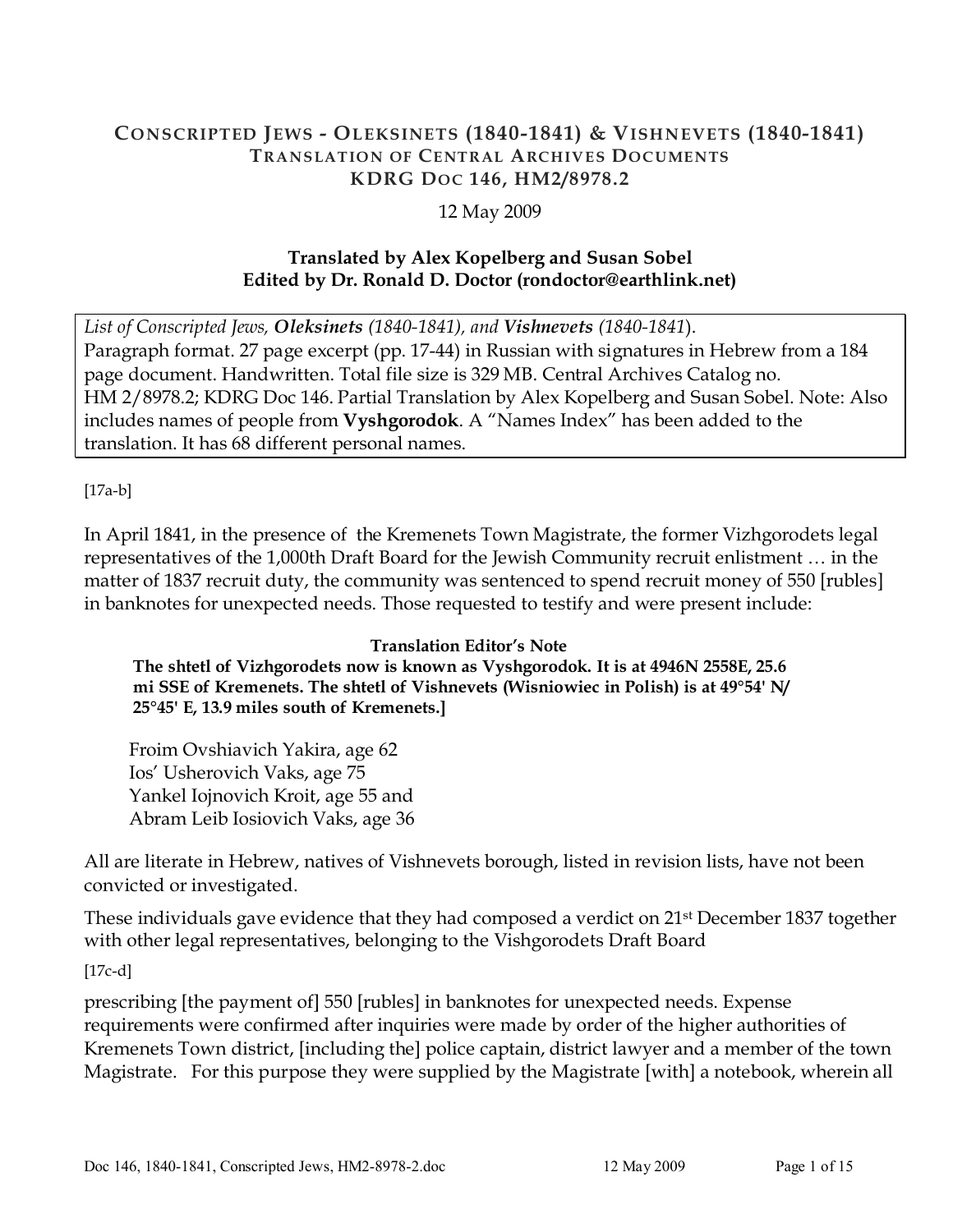### CONSCRIPTED JEWS - OLEKSINETS (1840-1841) & VISHNEVETS (1840-1841) TRANSLATION OF CENTRAL ARCHIVES DOCUMENTS KDRG DOC 146, HM2/8978.2

12 May 2009

# Translated by Alex Kopelberg and Susan Sobel Edited by Dr. Ronald D. Doctor (rondoctor@earthlink.net)

List of Conscripted Jews, Oleksinets (1840-1841), and Vishnevets (1840-1841). Paragraph format. 27 page excerpt (pp. 17-44) in Russian with signatures in Hebrew from a 184 page document. Handwritten. Total file size is 329 MB. Central Archives Catalog no. HM 2/8978.2; KDRG Doc 146. Partial Translation by Alex Kopelberg and Susan Sobel. Note: Also includes names of people from Vyshgorodok. A "Names Index" has been added to the translation. It has 68 different personal names.

[17a-b]

In April 1841, in the presence of the Kremenets Town Magistrate, the former Vizhgorodets legal representatives of the 1,000th Draft Board for the Jewish Community recruit enlistment … in the matter of 1837 recruit duty, the community was sentenced to spend recruit money of 550 [rubles] in banknotes for unexpected needs. Those requested to testify and were present include:

### Translation Editor's Note The shtetl of Vizhgorodets now is known as Vyshgorodok. It is at 4946N 2558E, 25.6 mi SSE of Kremenets. The shtetl of Vishnevets (Wisniowiec in Polish) is at 49°54' N/ 25°45' E, 13.9 miles south of Kremenets.]

Froim Ovshiavich Yakira, age 62 Ios' Usherovich Vaks, age 75 Yankel Iojnovich Kroit, age 55 and Abram Leib Iosiovich Vaks, age 36

All are literate in Hebrew, natives of Vishnevets borough, listed in revision lists, have not been convicted or investigated.

These individuals gave evidence that they had composed a verdict on 21st December 1837 together with other legal representatives, belonging to the Vishgorodets Draft Board

[17c-d]

prescribing [the payment of] 550 [rubles] in banknotes for unexpected needs. Expense requirements were confirmed after inquiries were made by order of the higher authorities of Kremenets Town district, [including the] police captain, district lawyer and a member of the town Magistrate. For this purpose they were supplied by the Magistrate [with] a notebook, wherein all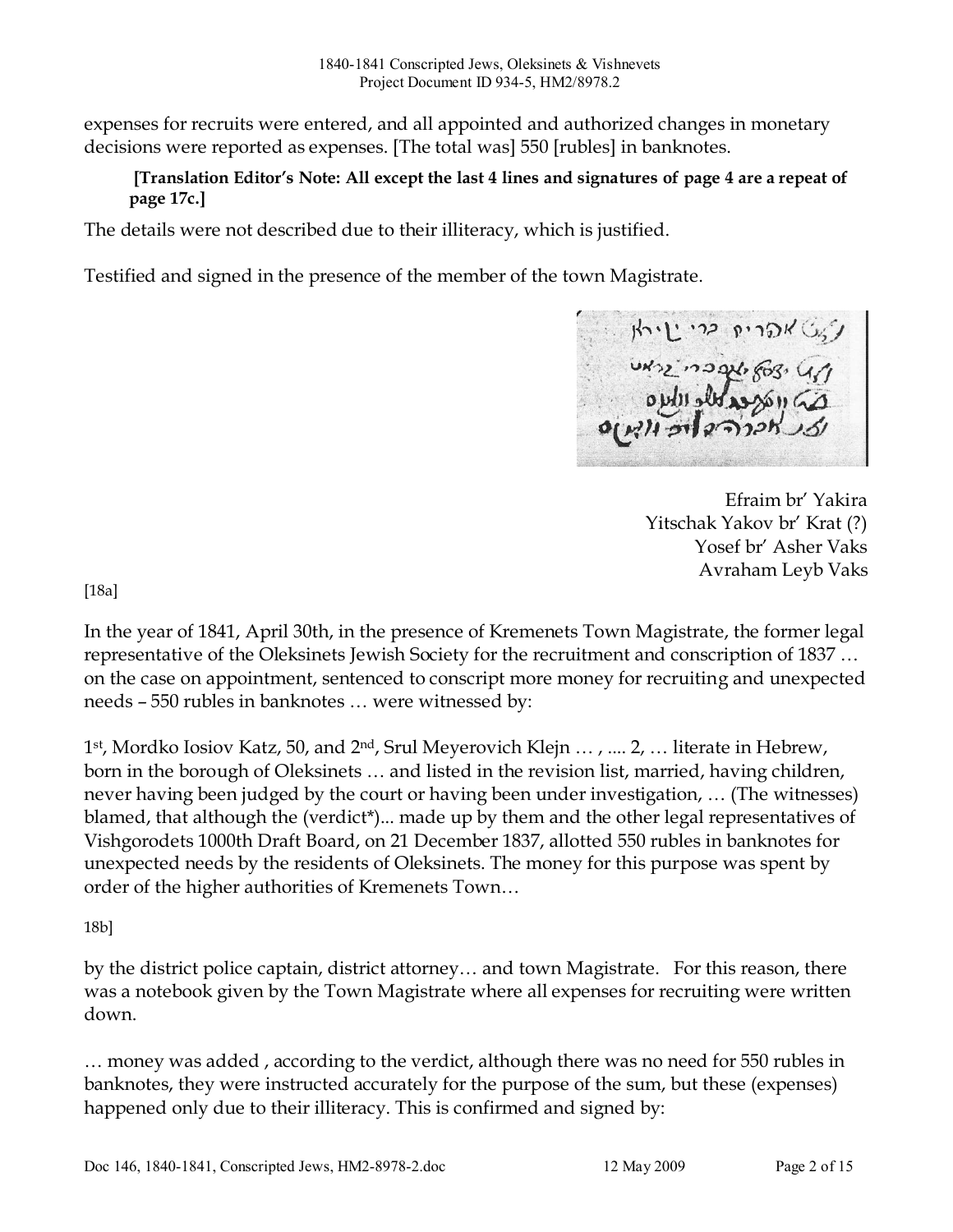expenses for recruits were entered, and all appointed and authorized changes in monetary decisions were reported as expenses. [The total was] 550 [rubles] in banknotes.

# [Translation Editor's Note: All except the last 4 lines and signatures of page 4 are a repeat of page 17c.]

The details were not described due to their illiteracy, which is justified.

Testified and signed in the presence of the member of the town Magistrate.

Efraim br' Yakira Yitschak Yakov br' Krat (?) Yosef br' Asher Vaks Avraham Leyb Vaks

[18a]

In the year of 1841, April 30th, in the presence of Kremenets Town Magistrate, the former legal representative of the Oleksinets Jewish Society for the recruitment and conscription of 1837 … on the case on appointment, sentenced to conscript more money for recruiting and unexpected needs – 550 rubles in banknotes … were witnessed by:

1 st, Mordko Iosiov Katz, 50, and 2nd, Srul Meyerovich Klejn … , .... 2, … literate in Hebrew, born in the borough of Oleksinets … and listed in the revision list, married, having children, never having been judged by the court or having been under investigation, … (The witnesses) blamed, that although the (verdict\*)... made up by them and the other legal representatives of Vishgorodets 1000th Draft Board, on 21 December 1837, allotted 550 rubles in banknotes for unexpected needs by the residents of Oleksinets. The money for this purpose was spent by order of the higher authorities of Kremenets Town…

18b]

by the district police captain, district attorney… and town Magistrate. For this reason, there was a notebook given by the Town Magistrate where all expenses for recruiting were written down.

… money was added , according to the verdict, although there was no need for 550 rubles in banknotes, they were instructed accurately for the purpose of the sum, but these (expenses) happened only due to their illiteracy. This is confirmed and signed by: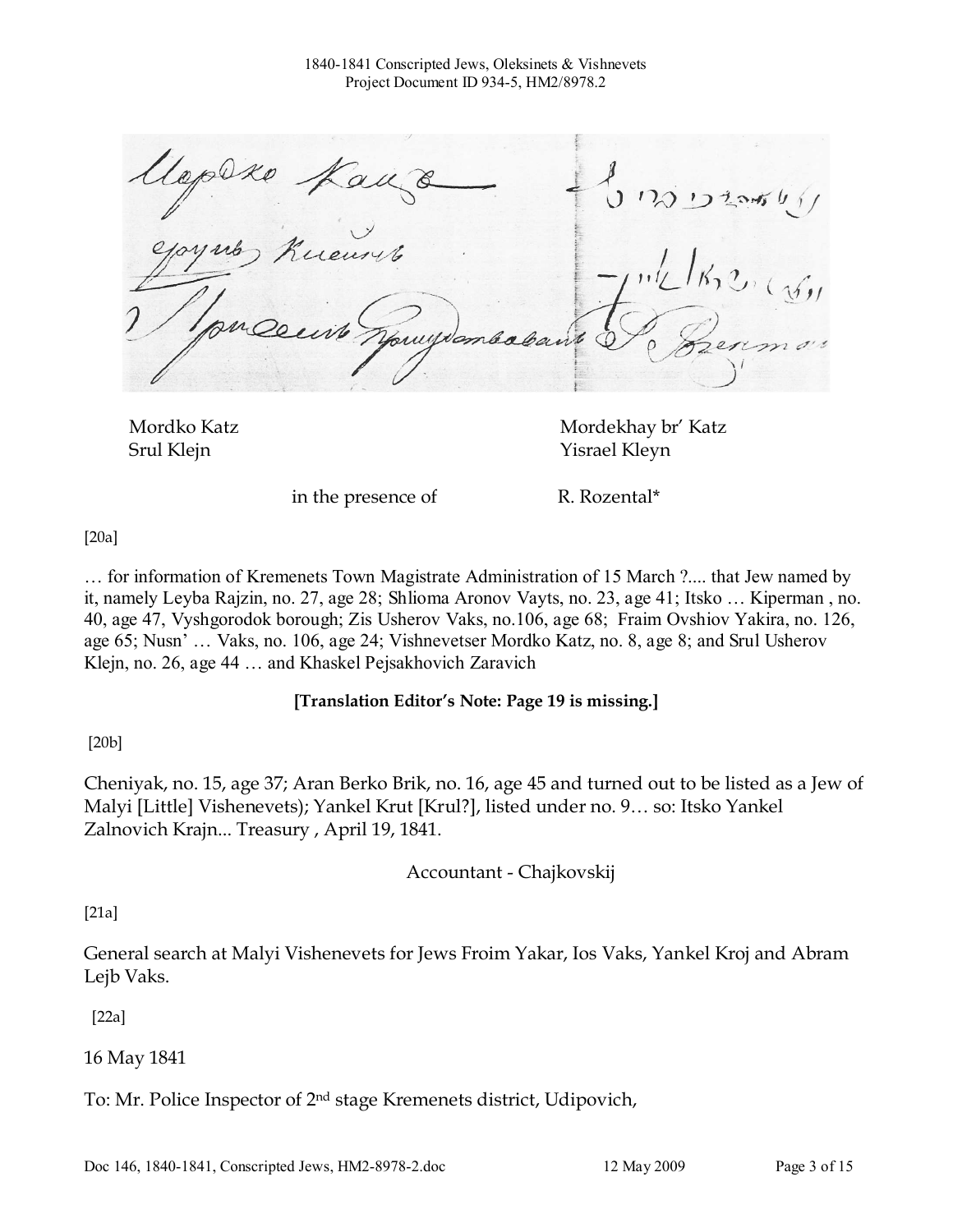$5 \, \text{ns}$   $13 \, \text{ns}$ 

Mordko Katz Mordekhay br' Katz Srul Klejn Yisrael Kleyn

in the presence of R. Rozental\*

[20a]

… for information of Kremenets Town Magistrate Administration of 15 March ?.... that Jew named by it, namely Leyba Rajzin, no. 27, age 28; Shlioma Aronov Vayts, no. 23, age 41; Itsko … Kiperman , no. 40, age 47, Vyshgorodok borough; Zis Usherov Vaks, no.106, age 68; Fraim Ovshiov Yakira, no. 126, age 65; Nusn' … Vaks, no. 106, age 24; Vishnevetser Mordko Katz, no. 8, age 8; and Srul Usherov Klejn, no. 26, age 44 … and Khaskel Pejsakhovich Zaravich

### [Translation Editor's Note: Page 19 is missing.]

[20b]

Cheniyak, no. 15, age 37; Aran Berko Brik, no. 16, age 45 and turned out to be listed as a Jew of Malyi [Little] Vishenevets); Yankel Krut [Krul?], listed under no. 9… so: Itsko Yankel Zalnovich Krajn... Treasury , April 19, 1841.

Accountant - Chajkovskij

[21a]

General search at Malyi Vishenevets for Jews Froim Yakar, Ios Vaks, Yankel Kroj and Abram Lejb Vaks.

[22a]

16 May 1841

To: Mr. Police Inspector of 2nd stage Kremenets district, Udipovich,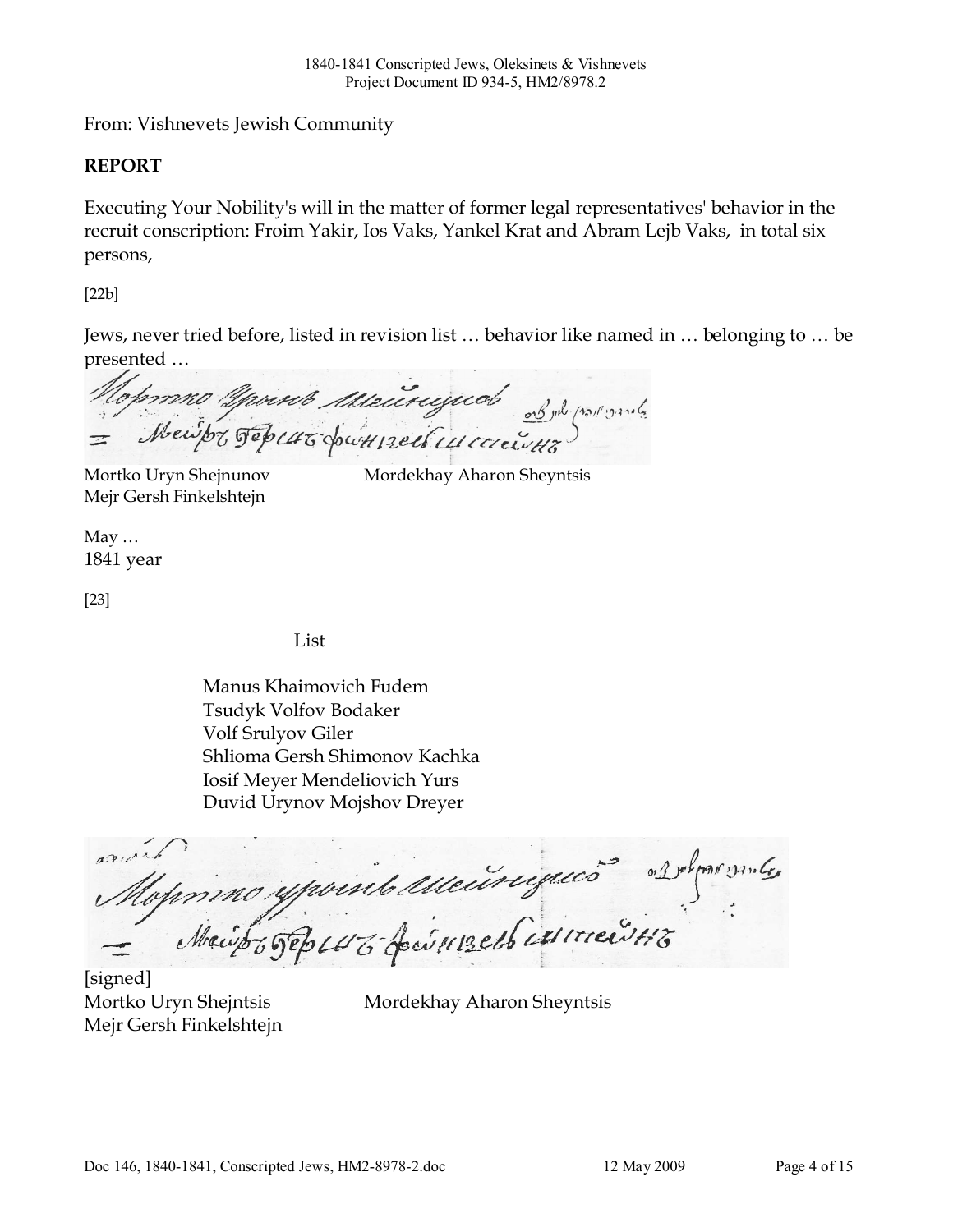From: Vishnevets Jewish Community

# REPORT

Executing Your Nobility's will in the matter of former legal representatives' behavior in the recruit conscription: Froim Yakir, Ios Vaks, Yankel Krat and Abram Lejb Vaks, in total six persons,

[22b]

Jews, never tried before, listed in revision list … behavior like named in … belonging to … be presented …

Mopmus young description of whomb

Mejr Gersh Finkelshtejn

Mortko Uryn Shejnunov Mordekhay Aharon Sheyntsis

May … 1841 year

[23]

List

Manus Khaimovich Fudem Tsudyk Volfov Bodaker Volf Srulyov Giler Shlioma Gersh Shimonov Kachka Iosif Meyer Mendeliovich Yurs Duvid Urynov Mojshov Dreyer

arma Mopmmo ypoint Meuriques 2 2 Apris 1916

[signed] Mejr Gersh Finkelshtejn

Mortko Uryn Shejntsis Mordekhay Aharon Sheyntsis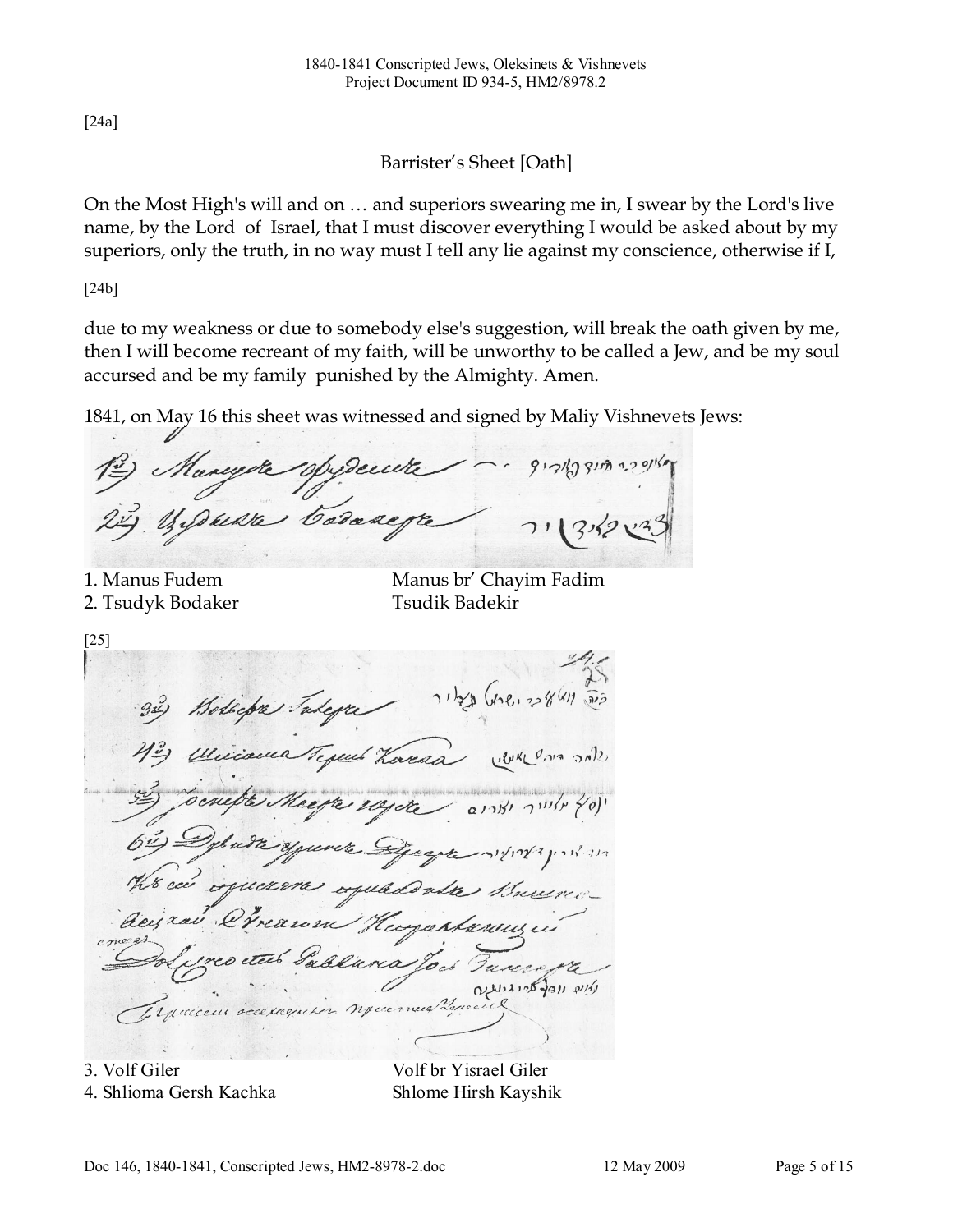[24a]

Barrister's Sheet [Oath]

On the Most High's will and on … and superiors swearing me in, I swear by the Lord's live name, by the Lord of Israel, that I must discover everything I would be asked about by my superiors, only the truth, in no way must I tell any lie against my conscience, otherwise if I,

[24b]

due to my weakness or due to somebody else's suggestion, will break the oath given by me, then I will become recreant of my faith, will be unworthy to be called a Jew, and be my soul accursed and be my family punished by the Almighty. Amen.

1841, on May 16 this sheet was witnessed and signed by Maliy Vishnevets Jews:

Mangote oppende  $913/2731322$ When Codaney

2. Tsudyk Bodaker Tsudik Badekir

1. Manus Fudem Manus br' Chayim Fadim

[25] aid was and artis Bollega Jax Tegent Loread  $U\&U\&U$ dey xaluria глессии эсскидиры

3. Volf Giler Volf br Yisrael Giler 4. Shlioma Gersh Kachka Shlome Hirsh Kayshik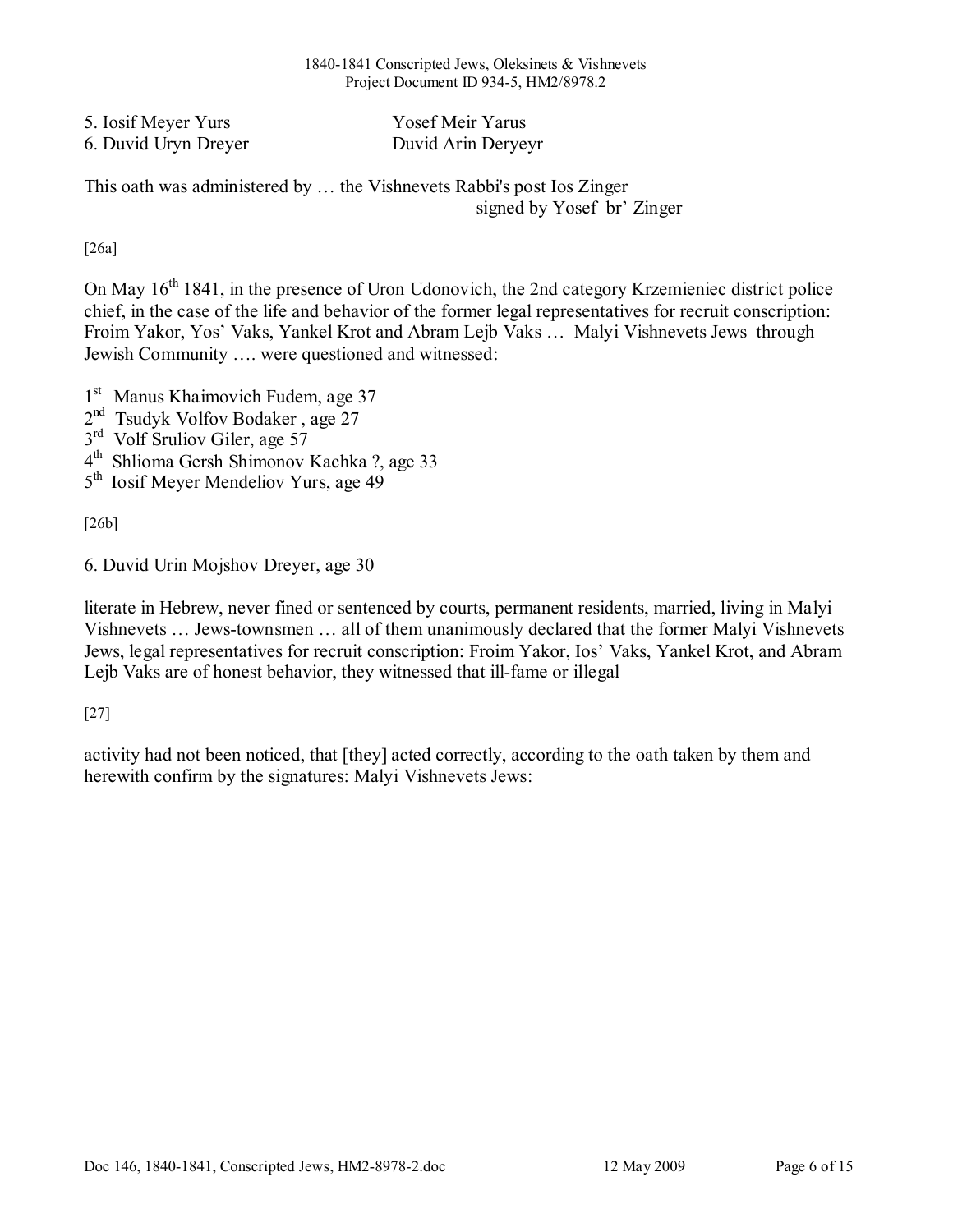#### 1840-1841 Conscripted Jews, Oleksinets & Vishnevets Project Document ID 934-5, HM2/8978.2

| 5. Iosif Meyer Yurs  | Yosef Meir Yarus   |
|----------------------|--------------------|
| 6. Duvid Uryn Dreyer | Duvid Arin Deryeyr |

This oath was administered by … the Vishnevets Rabbi's post Ios Zinger signed by Yosef br' Zinger

[26a]

On May 16<sup>th</sup> 1841, in the presence of Uron Udonovich, the 2nd category Krzemieniec district police chief, in the case of the life and behavior of the former legal representatives for recruit conscription: Froim Yakor, Yos' Vaks, Yankel Krot and Abram Lejb Vaks … Malyi Vishnevets Jews through Jewish Community …. were questioned and witnessed:

1<sup>st</sup> Manus Khaimovich Fudem, age 37

- 2<sup>nd</sup> Tsudyk Volfov Bodaker, age 27
- 3<sup>rd</sup> Volf Sruliov Giler, age 57
- 4 th Shlioma Gersh Shimonov Kachka ?, age 33
- 5<sup>th</sup> Iosif Meyer Mendeliov Yurs, age 49

[26b]

6. Duvid Urin Mojshov Dreyer, age 30

literate in Hebrew, never fined or sentenced by courts, permanent residents, married, living in Malyi Vishnevets … Jews-townsmen … all of them unanimously declared that the former Malyi Vishnevets Jews, legal representatives for recruit conscription: Froim Yakor, Ios' Vaks, Yankel Krot, and Abram Lejb Vaks are of honest behavior, they witnessed that ill-fame or illegal

[27]

activity had not been noticed, that [they] acted correctly, according to the oath taken by them and herewith confirm by the signatures: Malyi Vishnevets Jews: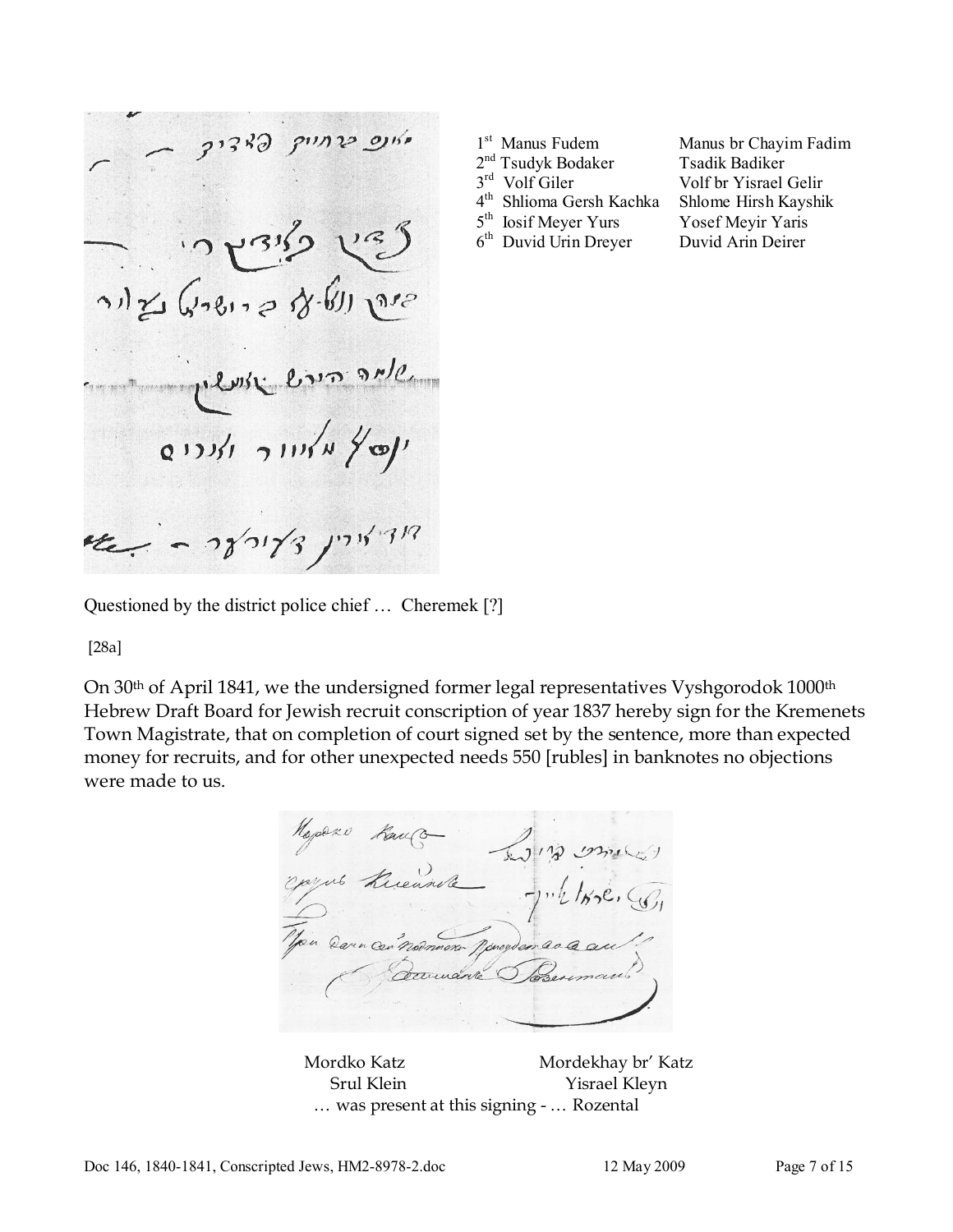ve)  $\mathcal{L}_{\mathcal{L}_{\mathcal{L}}}$ adr (B-en es silvive Centre ensuite ינטיץ מאיוור ואנרים  $-280/3$  /17/3/7/2

|  |  | <sup>st</sup> Manus Fudem |
|--|--|---------------------------|
|--|--|---------------------------|

1

- 2<sup>nd</sup> Tsudyk Bodaker Tsadik Badiker
- 3rd Volf Giler
	-

Manus br Chayim Fadim Volf br Yisrael Gelir 4 th Shlioma Gersh Kachka Shlome Hirsh Kayshik 5<sup>th</sup> Iosif Meyer Yurs Yosef Meyir Yaris 6 th Duvid Urin Dreyer Duvid Arin Deirer

Questioned by the district police chief … Cheremek [?]

[28a]

On 30<sup>th</sup> of April 1841, we the undersigned former legal representatives Vyshgorodok 1000<sup>th</sup> Hebrew Draft Board for Jewish recruit conscription of year 1837 hereby sign for the Kremenets Town Magistrate, that on completion of court signed set by the sentence, more than expected money for recruits, and for other unexpected needs 550 [rubles] in banknotes no objections were made to us.

Napazo Kanco on Darn cen nodmann pourvenan Decimante

Mordko Katz Mordekhay br' Katz Srul Klein Yisrael Kleyn … was present at this signing - … Rozental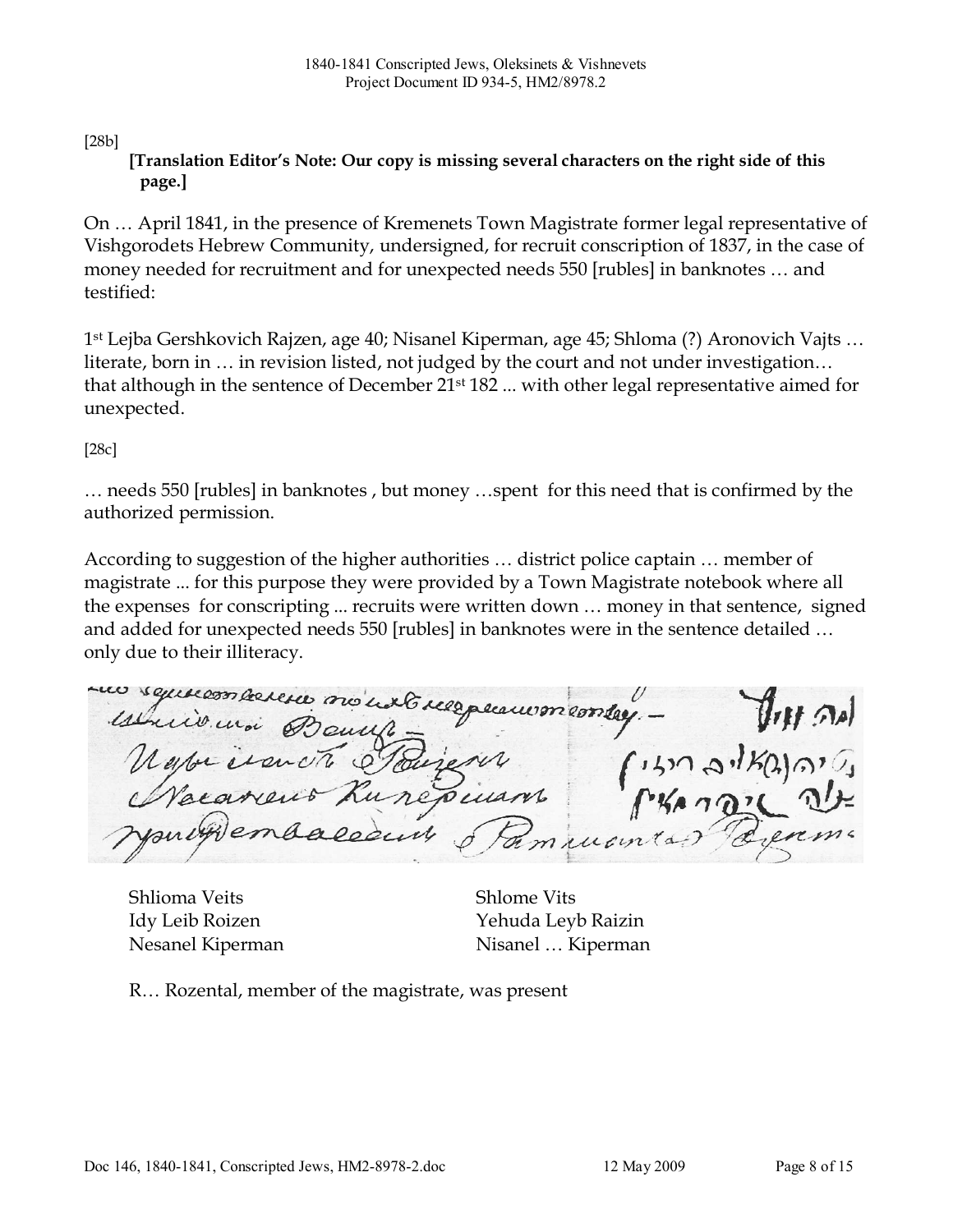## [28b]

### [Translation Editor's Note: Our copy is missing several characters on the right side of this page.]

On … April 1841, in the presence of Kremenets Town Magistrate former legal representative of Vishgorodets Hebrew Community, undersigned, for recruit conscription of 1837, in the case of money needed for recruitment and for unexpected needs 550 [rubles] in banknotes … and testified:

1 st Lejba Gershkovich Rajzen, age 40; Nisanel Kiperman, age 45; Shloma (?) Aronovich Vajts … literate, born in … in revision listed, not judged by the court and not under investigation… that although in the sentence of December 21st 182 ... with other legal representative aimed for unexpected.

[28c]

… needs 550 [rubles] in banknotes , but money …spent for this need that is confirmed by the authorized permission.

According to suggestion of the higher authorities … district police captain … member of magistrate ... for this purpose they were provided by a Town Magistrate notebook where all the expenses for conscripting ... recruits were written down … money in that sentence, signed and added for unexpected needs 550 [rubles] in banknotes were in the sentence detailed … only due to their illiteracy.

un squicon arreser nous ust reespeanismenter.  $f(x) = \frac{\int_{0}^{x} f(t) dt}{\int_{0}^{x} f(x) dx}$ estrico unoi sus.

Shlioma Veits Shlome Vits

Idy Leib Roizen Yehuda Leyb Raizin Nesanel Kiperman Nisanel … Kiperman

R… Rozental, member of the magistrate, was present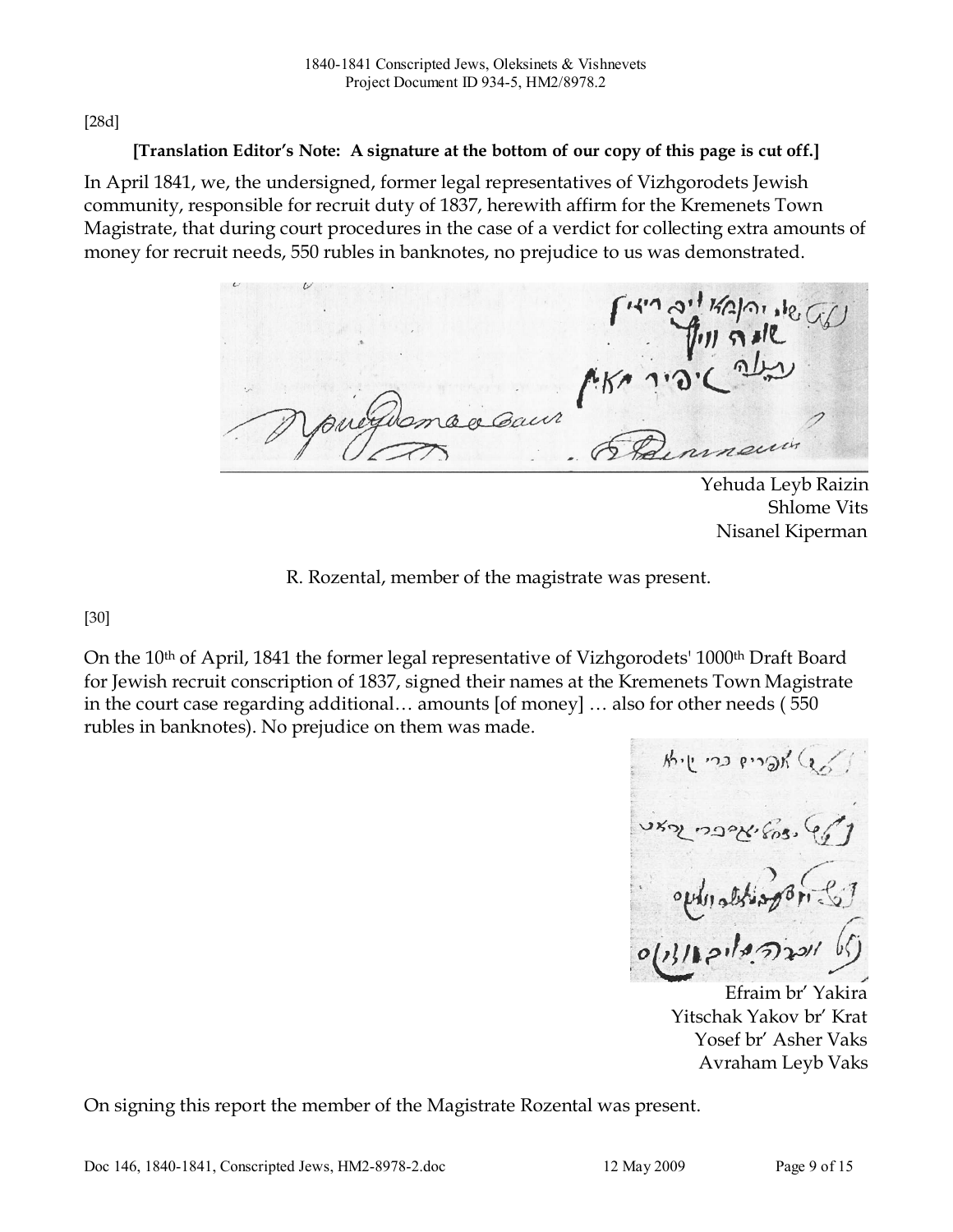[28d]

### [Translation Editor's Note: A signature at the bottom of our copy of this page is cut off.]

In April 1841, we, the undersigned, former legal representatives of Vizhgorodets Jewish community, responsible for recruit duty of 1837, herewith affirm for the Kremenets Town Magistrate, that during court procedures in the case of a verdict for collecting extra amounts of money for recruit needs, 550 rubles in banknotes, no prejudice to us was demonstrated.

Yehuda Leyb Raizin Shlome Vits Nisanel Kiperman

R. Rozental, member of the magistrate was present.

[30]

On the 10<sup>th</sup> of April, 1841 the former legal representative of Vizhgorodets' 1000<sup>th</sup> Draft Board for Jewish recruit conscription of 1837, signed their names at the Kremenets Town Magistrate in the court case regarding additional… amounts [of money] … also for other needs ( 550 rubles in banknotes). No prejudice on them was made.

ship no propriate  $0|13/121|29/1201$ 

Efraim br' Yakira Yitschak Yakov br' Krat Yosef br' Asher Vaks Avraham Leyb Vaks

On signing this report the member of the Magistrate Rozental was present.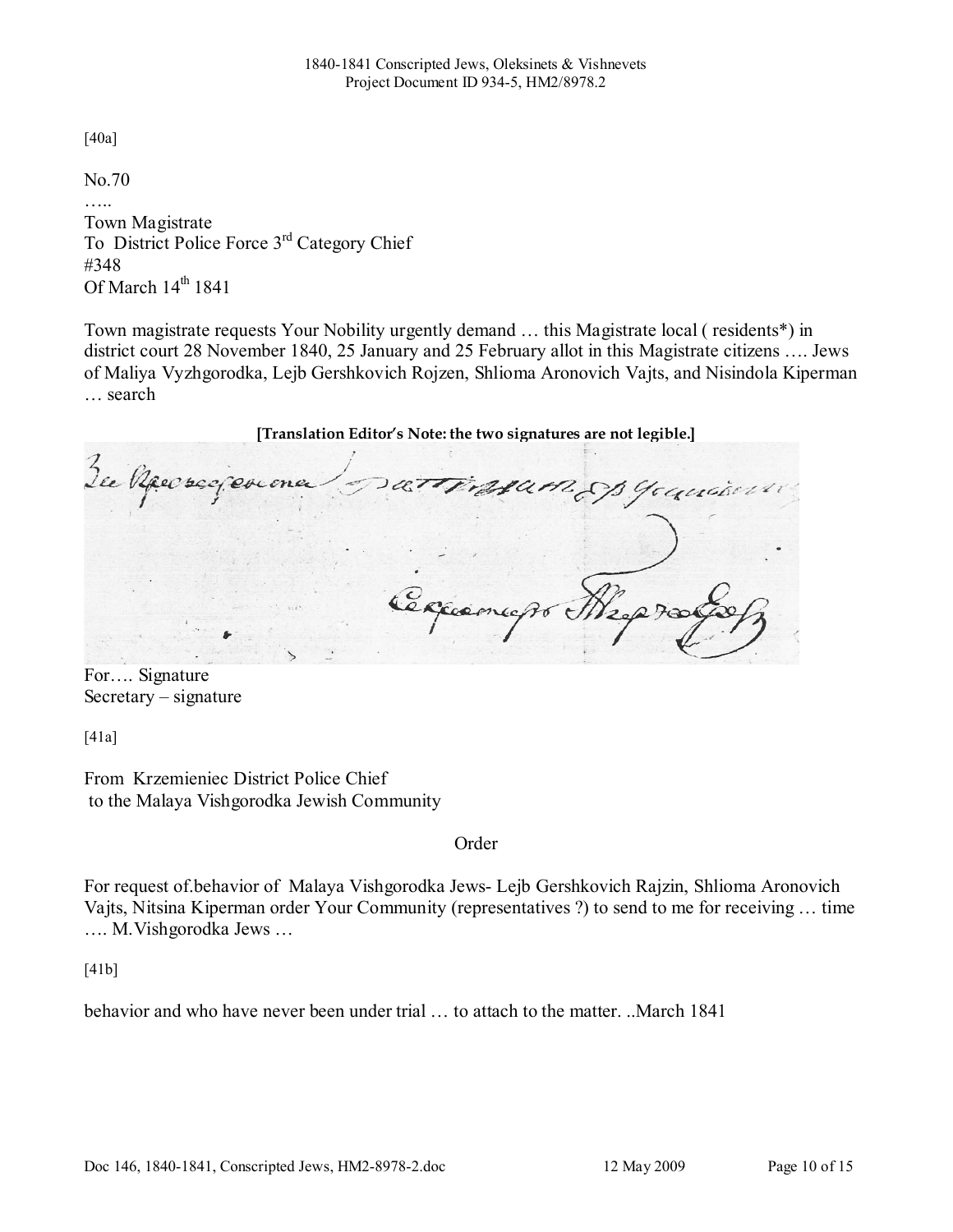[40a]

No.70

Town Magistrate To District Police Force 3rd Category Chief #348 Of March  $14<sup>th</sup> 1841$ 

Town magistrate requests Your Nobility urgently demand … this Magistrate local ( residents\*) in district court 28 November 1840, 25 January and 25 February allot in this Magistrate citizens …. Jews of Maliya Vyzhgorodka, Lejb Gershkovich Rojzen, Shlioma Aronovich Vajts, and Nisindola Kiperman … search

[Translation Editor's Note: the two signatures are not legible.] attrasam op youwer Je Raecreq exeme Cercame

For…. Signature Secretary – signature

[41a]

From Krzemieniec District Police Chief to the Malaya Vishgorodka Jewish Community

Order

For request of.behavior of Malaya Vishgorodka Jews- Lejb Gershkovich Rajzin, Shlioma Aronovich Vajts, Nitsina Kiperman order Your Community (representatives ?) to send to me for receiving … time …. M.Vishgorodka Jews …

[41b]

behavior and who have never been under trial … to attach to the matter. ..March 1841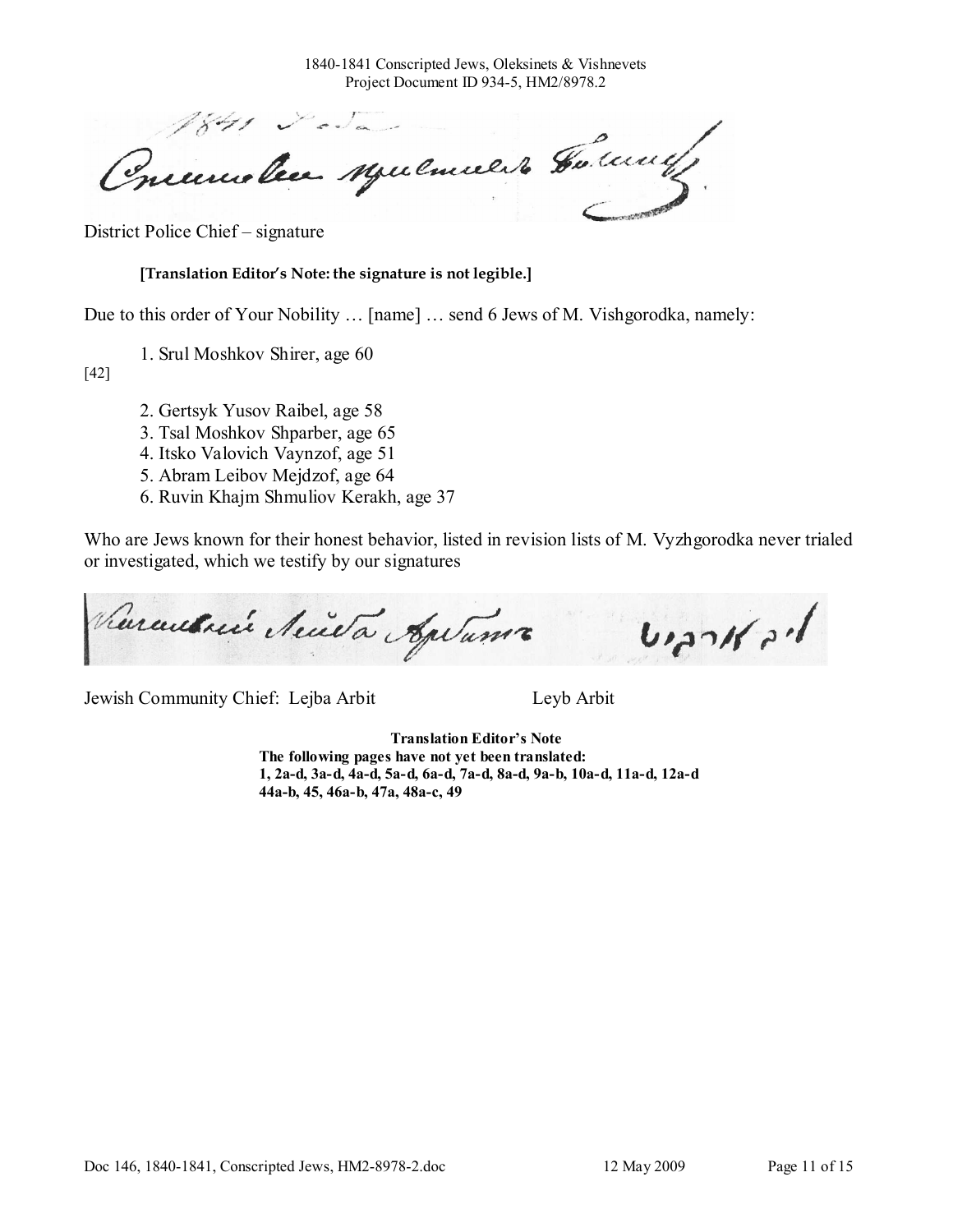1840-1841 Conscripted Jews, Oleksinets & Vishnevets Project Document ID 934-5, HM2/8978.2

Priemolie Mulmiert Galerie

District Police Chief – signature

[Translation Editor's Note: the signature is not legible.]

Due to this order of Your Nobility … [name] … send 6 Jews of M. Vishgorodka, namely:

1. Srul Moshkov Shirer, age 60

[42]

- 2. Gertsyk Yusov Raibel, age 58
- 3. Tsal Moshkov Shparber, age 65
- 4. Itsko Valovich Vaynzof, age 51
- 5. Abram Leibov Mejdzof, age 64
- 6. Ruvin Khajm Shmuliov Kerakh, age 37

Who are Jews known for their honest behavior, listed in revision lists of M. Vyzhgorodka never trialed or investigated, which we testify by our signatures

Rarautnie Neutre Agetamir  $br_{c}$ 

Jewish Community Chief: Lejba Arbit Leyb Arbit

Translation Editor's Note The following pages have not yet been translated: 1, 2a-d, 3a-d, 4a-d, 5a-d, 6a-d, 7a-d, 8a-d, 9a-b, 10a-d, 11a-d, 12a-d 44a-b, 45, 46a-b, 47a, 48a-c, 49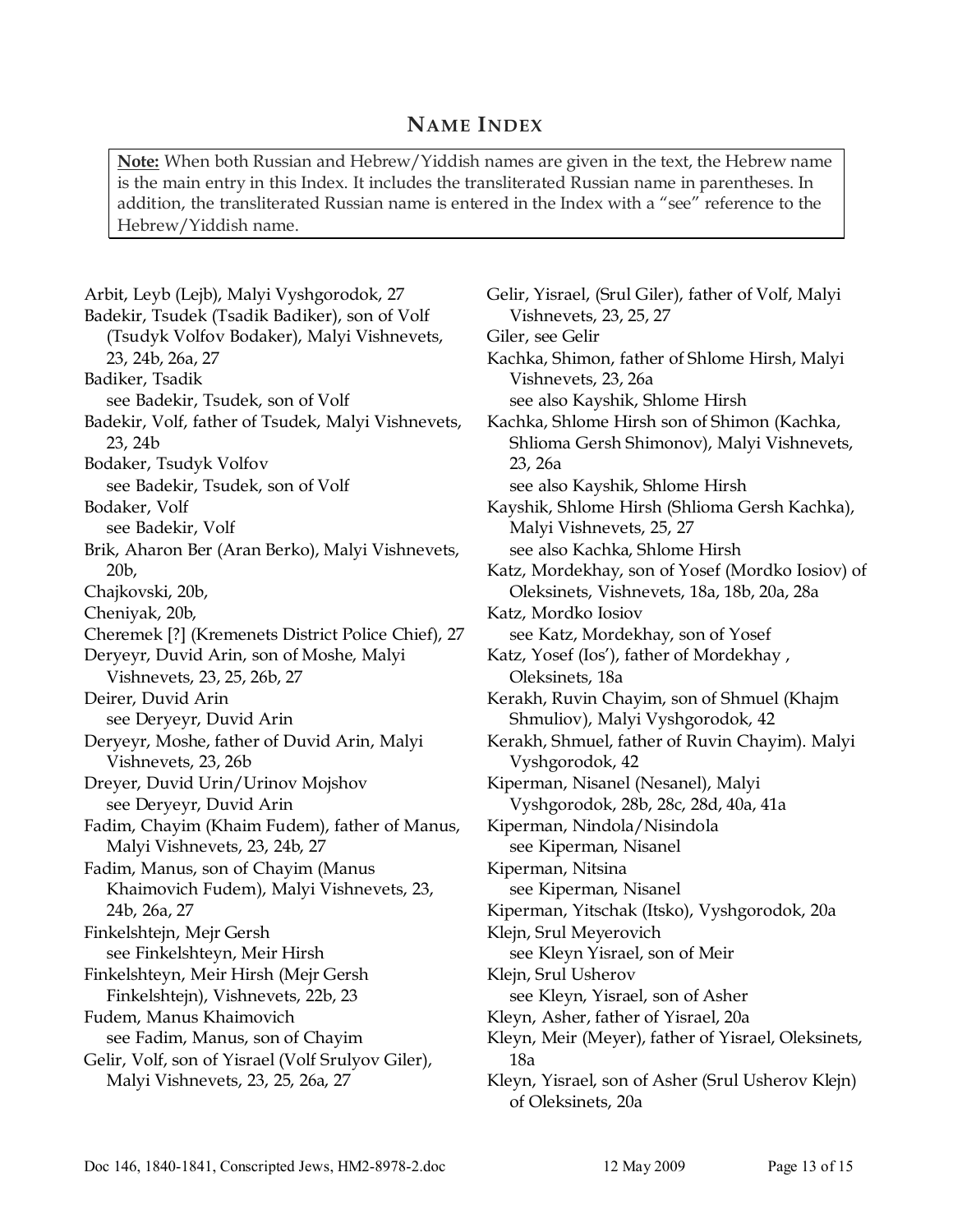### NAME INDEX

Note: When both Russian and Hebrew/Yiddish names are given in the text, the Hebrew name is the main entry in this Index. It includes the transliterated Russian name in parentheses. In addition, the transliterated Russian name is entered in the Index with a "see" reference to the Hebrew/Yiddish name.

Arbit, Leyb (Lejb), Malyi Vyshgorodok, 27 Badekir, Tsudek (Tsadik Badiker), son of Volf (Tsudyk Volfov Bodaker), Malyi Vishnevets, 23, 24b, 26a, 27 Badiker, Tsadik see Badekir, Tsudek, son of Volf Badekir, Volf, father of Tsudek, Malyi Vishnevets, 23, 24b Bodaker, Tsudyk Volfov see Badekir, Tsudek, son of Volf Bodaker, Volf see Badekir, Volf Brik, Aharon Ber (Aran Berko), Malyi Vishnevets, 20b, Chajkovski, 20b, Cheniyak, 20b, Cheremek [?] (Kremenets District Police Chief), 27 Deryeyr, Duvid Arin, son of Moshe, Malyi Vishnevets, 23, 25, 26b, 27 Deirer, Duvid Arin see Deryeyr, Duvid Arin Deryeyr, Moshe, father of Duvid Arin, Malyi Vishnevets, 23, 26b Dreyer, Duvid Urin/Urinov Mojshov see Deryeyr, Duvid Arin Fadim, Chayim (Khaim Fudem), father of Manus, Malyi Vishnevets, 23, 24b, 27 Fadim, Manus, son of Chayim (Manus Khaimovich Fudem), Malyi Vishnevets, 23, 24b, 26a, 27 Finkelshtejn, Mejr Gersh see Finkelshteyn, Meir Hirsh Finkelshteyn, Meir Hirsh (Mejr Gersh Finkelshtejn), Vishnevets, 22b, 23 Fudem, Manus Khaimovich see Fadim, Manus, son of Chayim Gelir, Volf, son of Yisrael (Volf Srulyov Giler), Malyi Vishnevets, 23, 25, 26a, 27

Gelir, Yisrael, (Srul Giler), father of Volf, Malyi Vishnevets, 23, 25, 27 Giler, see Gelir Kachka, Shimon, father of Shlome Hirsh, Malyi Vishnevets, 23, 26a see also Kayshik, Shlome Hirsh Kachka, Shlome Hirsh son of Shimon (Kachka, Shlioma Gersh Shimonov), Malyi Vishnevets, 23, 26a see also Kayshik, Shlome Hirsh Kayshik, Shlome Hirsh (Shlioma Gersh Kachka), Malyi Vishnevets, 25, 27 see also Kachka, Shlome Hirsh Katz, Mordekhay, son of Yosef (Mordko Iosiov) of Oleksinets, Vishnevets, 18a, 18b, 20a, 28a Katz, Mordko Iosiov see Katz, Mordekhay, son of Yosef Katz, Yosef (Ios'), father of Mordekhay , Oleksinets, 18a Kerakh, Ruvin Chayim, son of Shmuel (Khajm Shmuliov), Malyi Vyshgorodok, 42 Kerakh, Shmuel, father of Ruvin Chayim). Malyi Vyshgorodok, 42 Kiperman, Nisanel (Nesanel), Malyi Vyshgorodok, 28b, 28c, 28d, 40a, 41a Kiperman, Nindola/Nisindola see Kiperman, Nisanel Kiperman, Nitsina see Kiperman, Nisanel Kiperman, Yitschak (Itsko), Vyshgorodok, 20a Klejn, Srul Meyerovich see Kleyn Yisrael, son of Meir Klejn, Srul Usherov see Kleyn, Yisrael, son of Asher Kleyn, Asher, father of Yisrael, 20a Kleyn, Meir (Meyer), father of Yisrael, Oleksinets, 18a Kleyn, Yisrael, son of Asher (Srul Usherov Klejn) of Oleksinets, 20a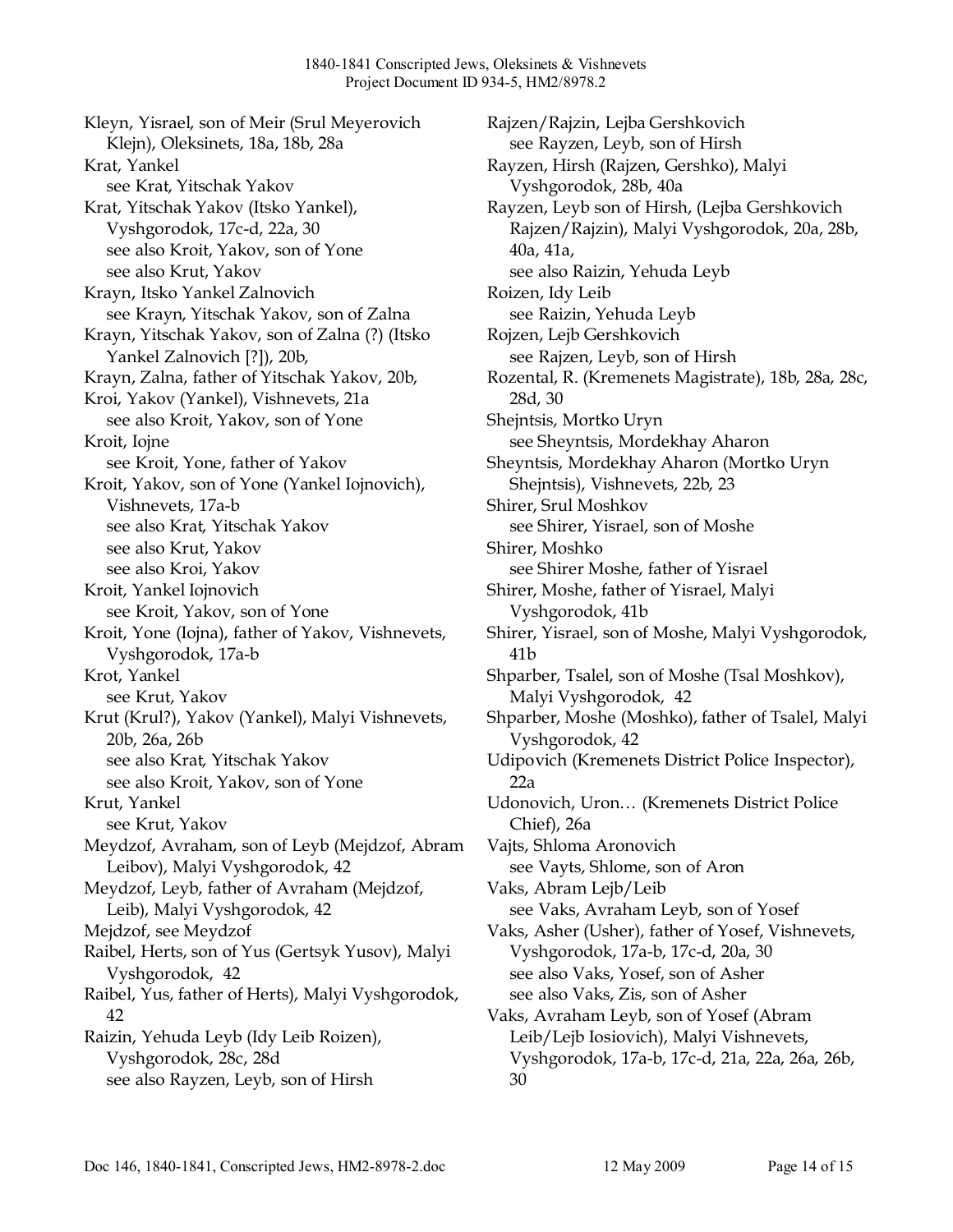Kleyn, Yisrael, son of Meir (Srul Meyerovich Klejn), Oleksinets, 18a, 18b, 28a Krat, Yankel see Krat, Yitschak Yakov Krat, Yitschak Yakov (Itsko Yankel), Vyshgorodok, 17c-d, 22a, 30 see also Kroit, Yakov, son of Yone see also Krut, Yakov Krayn, Itsko Yankel Zalnovich see Krayn, Yitschak Yakov, son of Zalna Krayn, Yitschak Yakov, son of Zalna (?) (Itsko Yankel Zalnovich [?]), 20b, Krayn, Zalna, father of Yitschak Yakov, 20b, Kroi, Yakov (Yankel), Vishnevets, 21a see also Kroit, Yakov, son of Yone Kroit, Iojne see Kroit, Yone, father of Yakov Kroit, Yakov, son of Yone (Yankel Iojnovich), Vishnevets, 17a-b see also Krat, Yitschak Yakov see also Krut, Yakov see also Kroi, Yakov Kroit, Yankel Iojnovich see Kroit, Yakov, son of Yone Kroit, Yone (Iojna), father of Yakov, Vishnevets, Vyshgorodok, 17a-b Krot, Yankel see Krut, Yakov Krut (Krul?), Yakov (Yankel), Malyi Vishnevets, 20b, 26a, 26b see also Krat, Yitschak Yakov see also Kroit, Yakov, son of Yone Krut, Yankel see Krut, Yakov Meydzof, Avraham, son of Leyb (Mejdzof, Abram Leibov), Malyi Vyshgorodok, 42 Meydzof, Leyb, father of Avraham (Mejdzof, Leib), Malyi Vyshgorodok, 42 Mejdzof, see Meydzof Raibel, Herts, son of Yus (Gertsyk Yusov), Malyi Vyshgorodok, 42 Raibel, Yus, father of Herts), Malyi Vyshgorodok, 42 Raizin, Yehuda Leyb (Idy Leib Roizen), Vyshgorodok, 28c, 28d see also Rayzen, Leyb, son of Hirsh

Rajzen/Rajzin, Lejba Gershkovich see Rayzen, Leyb, son of Hirsh Rayzen, Hirsh (Rajzen, Gershko), Malyi Vyshgorodok, 28b, 40a Rayzen, Leyb son of Hirsh, (Lejba Gershkovich Rajzen/Rajzin), Malyi Vyshgorodok, 20a, 28b, 40a, 41a, see also Raizin, Yehuda Leyb Roizen, Idy Leib see Raizin, Yehuda Leyb Rojzen, Lejb Gershkovich see Rajzen, Leyb, son of Hirsh Rozental, R. (Kremenets Magistrate), 18b, 28a, 28c, 28d, 30 Shejntsis, Mortko Uryn see Sheyntsis, Mordekhay Aharon Sheyntsis, Mordekhay Aharon (Mortko Uryn Shejntsis), Vishnevets, 22b, 23 Shirer, Srul Moshkov see Shirer, Yisrael, son of Moshe Shirer, Moshko see Shirer Moshe, father of Yisrael Shirer, Moshe, father of Yisrael, Malyi Vyshgorodok, 41b Shirer, Yisrael, son of Moshe, Malyi Vyshgorodok, 41b Shparber, Tsalel, son of Moshe (Tsal Moshkov), Malyi Vyshgorodok, 42 Shparber, Moshe (Moshko), father of Tsalel, Malyi Vyshgorodok, 42 Udipovich (Kremenets District Police Inspector),  $22a$ Udonovich, Uron… (Kremenets District Police Chief), 26a Vajts, Shloma Aronovich see Vayts, Shlome, son of Aron Vaks, Abram Lejb/Leib see Vaks, Avraham Leyb, son of Yosef Vaks, Asher (Usher), father of Yosef, Vishnevets, Vyshgorodok, 17a-b, 17c-d, 20a, 30 see also Vaks, Yosef, son of Asher see also Vaks, Zis, son of Asher Vaks, Avraham Leyb, son of Yosef (Abram Leib/Lejb Iosiovich), Malyi Vishnevets, Vyshgorodok, 17a-b, 17c-d, 21a, 22a, 26a, 26b, 30